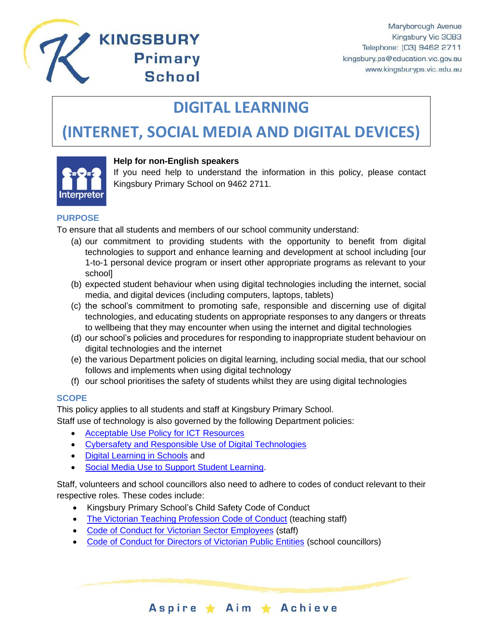

## **KINGSBURY Primary School**

# **DIGITAL LEARNING**

## **(INTERNET, SOCIAL MEDIA AND DIGITAL DEVICES)**



## **Help for non-English speakers**

If you need help to understand the information in this policy, please contact Kingsbury Primary School on 9462 2711.

### **PURPOSE**

To ensure that all students and members of our school community understand:

- (a) our commitment to providing students with the opportunity to benefit from digital technologies to support and enhance learning and development at school including [our 1-to-1 personal device program or insert other appropriate programs as relevant to your school]
- (b) expected student behaviour when using digital technologies including the internet, social media, and digital devices (including computers, laptops, tablets)
- (c) the school's commitment to promoting safe, responsible and discerning use of digital technologies, and educating students on appropriate responses to any dangers or threats to wellbeing that they may encounter when using the internet and digital technologies
- (d) our school's policies and procedures for responding to inappropriate student behaviour on digital technologies and the internet
- (e) the various Department policies on digital learning, including social media, that our school follows and implements when using digital technology
- (f) our school prioritises the safety of students whilst they are using digital technologies

## **SCOPE**

This policy applies to all students and staff at Kingsbury Primary School.

Staff use of technology is also governed by the following Department policies:

- [Acceptable Use Policy](https://www2.education.vic.gov.au/pal/ict-acceptable-use/overview) for ICT Resources
- [Cybersafety and Responsible Use of Digital Technologies](https://www2.education.vic.gov.au/pal/cybersafety/policy)
- [Digital Learning in Schools](https://www2.education.vic.gov.au/pal/digital-learning/policy) and
- [Social Media Use to Support Student Learning.](https://www2.education.vic.gov.au/pal/social-media/policy)

Staff, volunteers and school councillors also need to adhere to codes of conduct relevant to their respective roles. These codes include:

Aspire ★ Aim ★ Achieve

- Kingsbury Primary School's Child Safety Code of Conduct
- [The Victorian Teaching Profession Code of Conduct](https://www.vit.vic.edu.au/__data/assets/pdf_file/0018/35604/Code-of-Conduct-2016.pdf) (teaching staff)
- [Code of Conduct for Victorian Sector Employees](https://www2.education.vic.gov.au/pal/code-conduct/overview) (staff)
- [Code of Conduct for Directors of Victorian Public Entities](https://www2.education.vic.gov.au/pal/school-council-conduct/policy) (school councillors)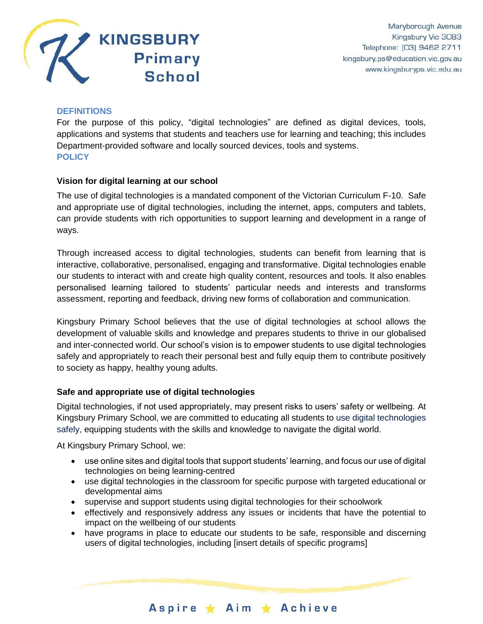

#### **DEFINITIONS**

For the purpose of this policy, "digital technologies" are defined as digital devices, tools, applications and systems that students and teachers use for learning and teaching; this includes Department-provided software and locally sourced devices, tools and systems. **POLICY**

#### **Vision for digital learning at our school**

The use of digital technologies is a mandated component of the Victorian Curriculum F-10. Safe and appropriate use of digital technologies, including the internet, apps, computers and tablets, can provide students with rich opportunities to support learning and development in a range of ways.

Through increased access to digital technologies, students can benefit from learning that is interactive, collaborative, personalised, engaging and transformative. Digital technologies enable our students to interact with and create high quality content, resources and tools. It also enables personalised learning tailored to students' particular needs and interests and transforms assessment, reporting and feedback, driving new forms of collaboration and communication.

Kingsbury Primary School believes that the use of digital technologies at school allows the development of valuable skills and knowledge and prepares students to thrive in our globalised and inter-connected world. Our school's vision is to empower students to use digital technologies safely and appropriately to reach their personal best and fully equip them to contribute positively to society as happy, healthy young adults.

## **Safe and appropriate use of digital technologies**

Digital technologies, if not used appropriately, may present risks to users' safety or wellbeing. At Kingsbury Primary School, we are committed to educating all students to use digital technologies safely, equipping students with the skills and knowledge to navigate the digital world.

At Kingsbury Primary School, we:

- use online sites and digital tools that support students' learning, and focus our use of digital technologies on being learning-centred
- use digital technologies in the classroom for specific purpose with targeted educational or developmental aims
- supervise and support students using digital technologies for their schoolwork
- effectively and responsively address any issues or incidents that have the potential to impact on the wellbeing of our students
- have programs in place to educate our students to be safe, responsible and discerning users of digital technologies, including [insert details of specific programs]

Aspire \* Aim \* Achieve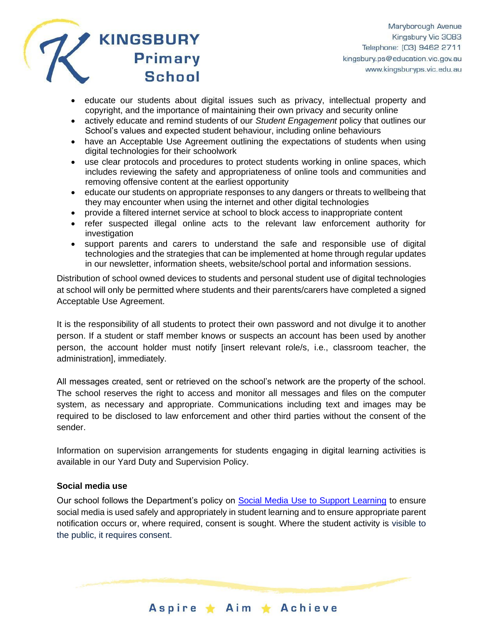

- educate our students about digital issues such as privacy, intellectual property and copyright, and the importance of maintaining their own privacy and security online
- actively educate and remind students of our *Student Engagement* policy that outlines our School's values and expected student behaviour, including online behaviours
- have an Acceptable Use Agreement outlining the expectations of students when using digital technologies for their schoolwork
- use clear protocols and procedures to protect students working in online spaces, which includes reviewing the safety and appropriateness of online tools and communities and removing offensive content at the earliest opportunity
- educate our students on appropriate responses to any dangers or threats to wellbeing that they may encounter when using the internet and other digital technologies
- provide a filtered internet service at school to block access to inappropriate content
- refer suspected illegal online acts to the relevant law enforcement authority for investigation
- support parents and carers to understand the safe and responsible use of digital technologies and the strategies that can be implemented at home through regular updates in our newsletter, information sheets, website/school portal and information sessions.

Distribution of school owned devices to students and personal student use of digital technologies at school will only be permitted where students and their parents/carers have completed a signed Acceptable Use Agreement.

It is the responsibility of all students to protect their own password and not divulge it to another person. If a student or staff member knows or suspects an account has been used by another person, the account holder must notify [insert relevant role/s, i.e., classroom teacher, the administration], immediately.

All messages created, sent or retrieved on the school's network are the property of the school. The school reserves the right to access and monitor all messages and files on the computer system, as necessary and appropriate. Communications including text and images may be required to be disclosed to law enforcement and other third parties without the consent of the sender.

Information on supervision arrangements for students engaging in digital learning activities is available in our Yard Duty and Supervision Policy.

#### **Social media use**

Our school follows the Department's policy on [Social Media Use to Support Learning](https://www2.education.vic.gov.au/pal/social-media/policy) to ensure social media is used safely and appropriately in student learning and to ensure appropriate parent notification occurs or, where required, consent is sought. Where the student activity is visible to the public, it requires consent.

Aspire ★ Aim ★ Achieve